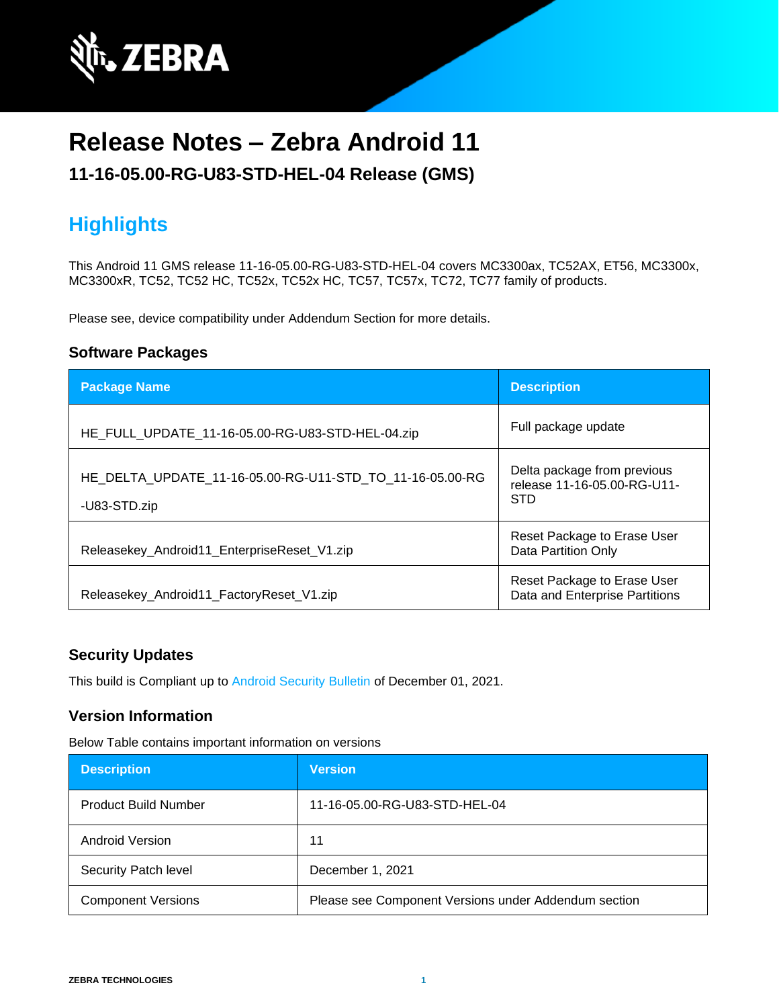

# **Release Notes – Zebra Android 11**

### **11-16-05.00-RG-U83-STD-HEL-04 Release (GMS)**

## **Highlights**

This Android 11 GMS release 11-16-05.00-RG-U83-STD-HEL-04 covers MC3300ax, TC52AX, ET56, MC3300x, MC3300xR, TC52, TC52 HC, TC52x, TC52x HC, TC57, TC57x, TC72, TC77 family of products.

Please see, device compatibility under Addendum Section for more details.

#### **Software Packages**

| <b>Package Name</b>                                                      | <b>Description</b>                                                       |
|--------------------------------------------------------------------------|--------------------------------------------------------------------------|
| HE FULL UPDATE 11-16-05.00-RG-U83-STD-HEL-04.zip                         | Full package update                                                      |
| HE DELTA UPDATE 11-16-05.00-RG-U11-STD TO 11-16-05.00-RG<br>-U83-STD.zip | Delta package from previous<br>release 11-16-05.00-RG-U11-<br><b>STD</b> |
| Releasekey_Android11_EnterpriseReset_V1.zip                              | Reset Package to Erase User<br><b>Data Partition Only</b>                |
| Releasekey_Android11_FactoryReset_V1.zip                                 | Reset Package to Erase User<br>Data and Enterprise Partitions            |

#### **Security Updates**

This build is Compliant up to [Android Security Bulletin](https://source.android.com/security/bulletin/) of December 01, 2021.

#### **Version Information**

Below Table contains important information on versions

| <b>Description</b>          | <b>Version</b>                                       |
|-----------------------------|------------------------------------------------------|
| <b>Product Build Number</b> | 11-16-05.00-RG-U83-STD-HEL-04                        |
| <b>Android Version</b>      | 11                                                   |
| Security Patch level        | December 1, 2021                                     |
| <b>Component Versions</b>   | Please see Component Versions under Addendum section |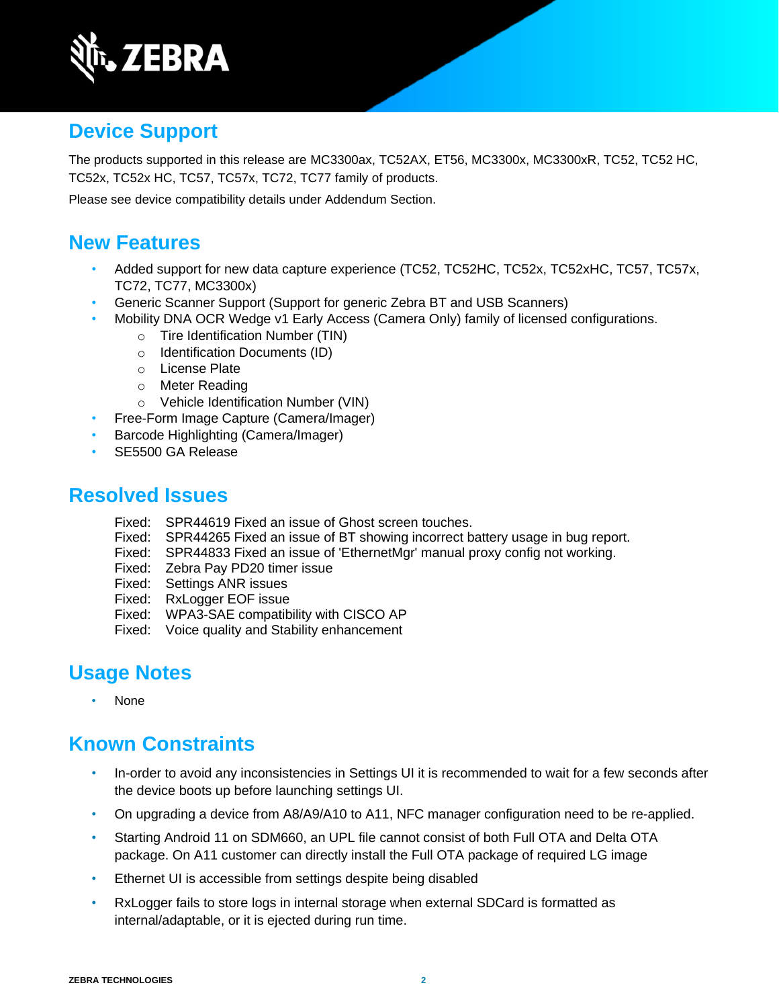

## **Device Support**

The products supported in this release are MC3300ax, TC52AX, ET56, MC3300x, MC3300xR, TC52, TC52 HC, TC52x, TC52x HC, TC57, TC57x, TC72, TC77 family of products.

Please see device compatibility details under Addendum Section.

### **New Features**

- Added support for new data capture experience (TC52, TC52HC, TC52x, TC52xHC, TC57, TC57x, TC72, TC77, MC3300x)
- Generic Scanner Support (Support for generic Zebra BT and USB Scanners)
- Mobility DNA OCR Wedge v1 Early Access (Camera Only) family of licensed configurations.
	- o Tire Identification Number (TIN)
	- o Identification Documents (ID)
	- o License Plate
	- o Meter Reading
	- o Vehicle Identification Number (VIN)
- Free-Form Image Capture (Camera/Imager)
- Barcode Highlighting (Camera/Imager)
- SE5500 GA Release

#### **Resolved Issues**

- Fixed: SPR44619 Fixed an issue of Ghost screen touches.
- Fixed: SPR44265 Fixed an issue of BT showing incorrect battery usage in bug report.
- Fixed: SPR44833 Fixed an issue of 'EthernetMgr' manual proxy config not working.
- Fixed: Zebra Pay PD20 timer issue
- Fixed: Settings ANR issues
- Fixed: RxLogger EOF issue
- Fixed: WPA3-SAE compatibility with CISCO AP
- Fixed: Voice quality and Stability enhancement

## **Usage Notes**

• None

#### **Known Constraints**

- In-order to avoid any inconsistencies in Settings UI it is recommended to wait for a few seconds after the device boots up before launching settings UI.
- On upgrading a device from A8/A9/A10 to A11, NFC manager configuration need to be re-applied.
- Starting Android 11 on SDM660, an UPL file cannot consist of both Full OTA and Delta OTA package. On A11 customer can directly install the Full OTA package of required LG image
- Ethernet UI is accessible from settings despite being disabled
- RxLogger fails to store logs in internal storage when external SDCard is formatted as internal/adaptable, or it is ejected during run time.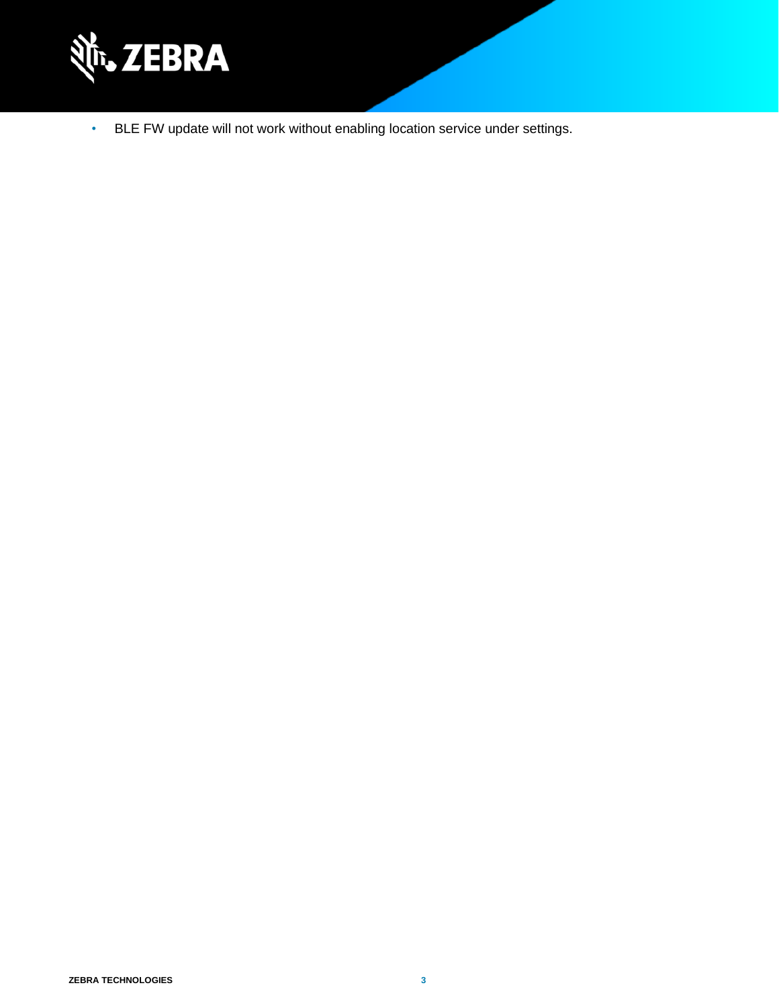

• BLE FW update will not work without enabling location service under settings.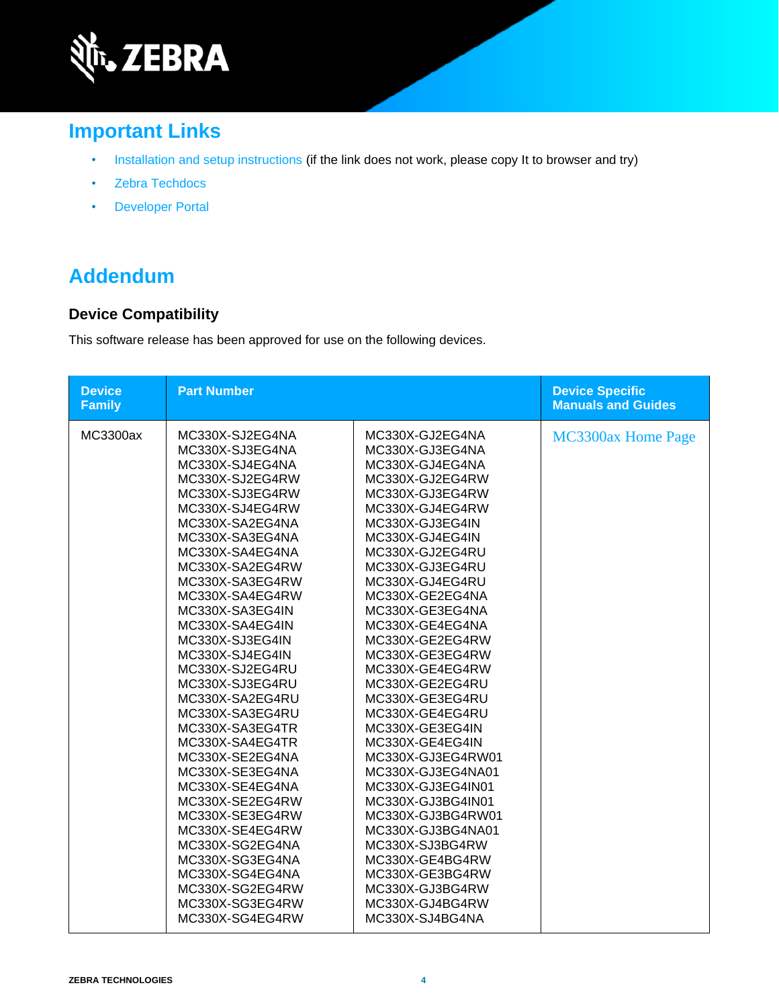

## **Important Links**

- [Installation and setup instructions](https://www.zebra.com/content/dam/zebra_new_ia/en-us/software/operating-system/helios/A11-os-update-instructions.pdf) (if the link does not work, please copy It to browser and try)
- [Zebra Techdocs](http://techdocs.zebra.com/)
- [Developer Portal](http://developer.zebra.com/)

## **Addendum**

#### **Device Compatibility**

This software release has been approved for use on the following devices.

| <b>Device</b><br><b>Family</b> | <b>Part Number</b>                                                                                                                                                                                                                                                                                                                                                                                                                                                                                                                                                                                                                                                 |                                                                                                                                                                                                                                                                                                                                                                                                                                                                                                                                                                                                                                                                                | <b>Device Specific</b><br><b>Manuals and Guides</b> |
|--------------------------------|--------------------------------------------------------------------------------------------------------------------------------------------------------------------------------------------------------------------------------------------------------------------------------------------------------------------------------------------------------------------------------------------------------------------------------------------------------------------------------------------------------------------------------------------------------------------------------------------------------------------------------------------------------------------|--------------------------------------------------------------------------------------------------------------------------------------------------------------------------------------------------------------------------------------------------------------------------------------------------------------------------------------------------------------------------------------------------------------------------------------------------------------------------------------------------------------------------------------------------------------------------------------------------------------------------------------------------------------------------------|-----------------------------------------------------|
| MC3300ax                       | MC330X-SJ2EG4NA<br>MC330X-SJ3EG4NA<br>MC330X-SJ4EG4NA<br>MC330X-SJ2EG4RW<br>MC330X-SJ3EG4RW<br>MC330X-SJ4EG4RW<br>MC330X-SA2EG4NA<br>MC330X-SA3EG4NA<br>MC330X-SA4EG4NA<br>MC330X-SA2EG4RW<br>MC330X-SA3EG4RW<br>MC330X-SA4EG4RW<br>MC330X-SA3EG4IN<br>MC330X-SA4EG4IN<br>MC330X-SJ3EG4IN<br>MC330X-SJ4EG4IN<br>MC330X-SJ2EG4RU<br>MC330X-SJ3EG4RU<br>MC330X-SA2EG4RU<br>MC330X-SA3EG4RU<br>MC330X-SA3EG4TR<br>MC330X-SA4EG4TR<br>MC330X-SE2EG4NA<br>MC330X-SE3EG4NA<br>MC330X-SE4EG4NA<br>MC330X-SE2EG4RW<br>MC330X-SE3EG4RW<br>MC330X-SE4EG4RW<br>MC330X-SG2EG4NA<br>MC330X-SG3EG4NA<br>MC330X-SG4EG4NA<br>MC330X-SG2EG4RW<br>MC330X-SG3EG4RW<br>MC330X-SG4EG4RW | MC330X-GJ2EG4NA<br>MC330X-GJ3EG4NA<br>MC330X-GJ4EG4NA<br>MC330X-GJ2EG4RW<br>MC330X-GJ3EG4RW<br>MC330X-GJ4EG4RW<br>MC330X-GJ3EG4IN<br>MC330X-GJ4EG4IN<br>MC330X-GJ2EG4RU<br>MC330X-GJ3EG4RU<br>MC330X-GJ4EG4RU<br>MC330X-GE2EG4NA<br>MC330X-GE3EG4NA<br>MC330X-GE4EG4NA<br>MC330X-GE2EG4RW<br>MC330X-GE3EG4RW<br>MC330X-GE4EG4RW<br>MC330X-GE2EG4RU<br>MC330X-GE3EG4RU<br>MC330X-GE4EG4RU<br>MC330X-GE3EG4IN<br>MC330X-GE4EG4IN<br>MC330X-GJ3EG4RW01<br>MC330X-GJ3EG4NA01<br>MC330X-GJ3EG4IN01<br>MC330X-GJ3BG4IN01<br>MC330X-GJ3BG4RW01<br>MC330X-GJ3BG4NA01<br>MC330X-SJ3BG4RW<br>MC330X-GE4BG4RW<br>MC330X-GE3BG4RW<br>MC330X-GJ3BG4RW<br>MC330X-GJ4BG4RW<br>MC330X-SJ4BG4NA | MC3300ax Home Page                                  |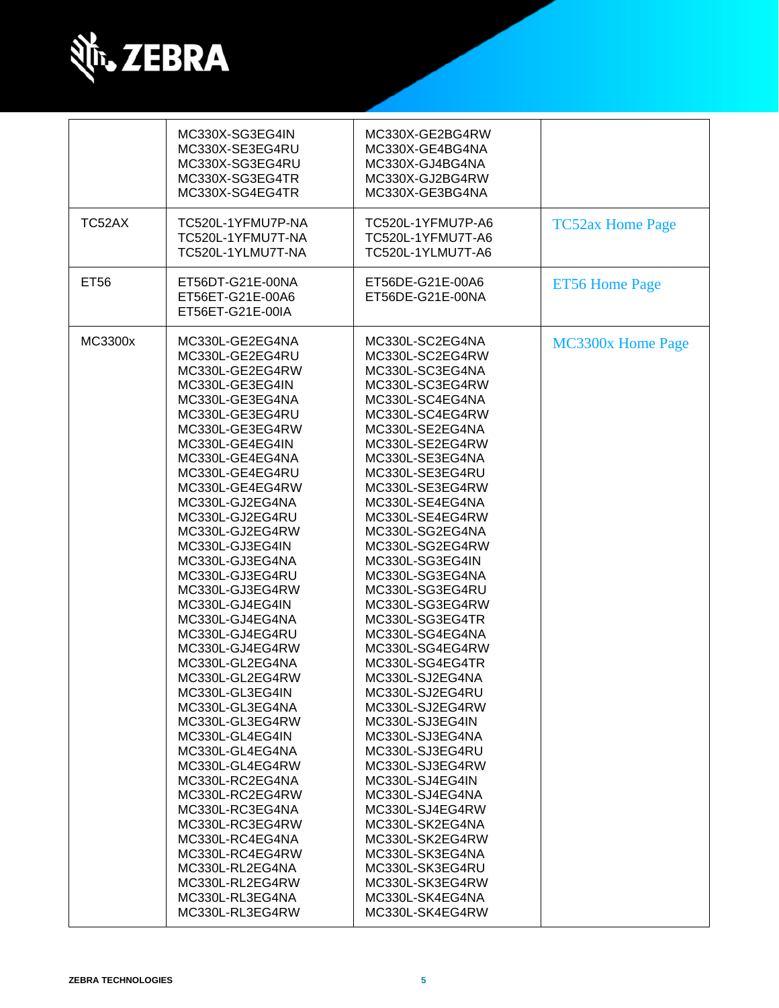

| TC52AX<br>ET56 | MC330X-SG3EG4IN<br>MC330X-SE3EG4RU<br>MC330X-SG3EG4RU<br>MC330X-SG3EG4TR<br>MC330X-SG4EG4TR<br>TC520L-1YFMU7P-NA<br>TC520L-1YFMU7T-NA<br>TC520L-1YLMU7T-NA<br>ET56DT-G21E-00NA<br>ET56ET-G21E-00A6                                                                                                                                                                                                                                                                                                                                                                                                                                                                                                                                                                | MC330X-GE2BG4RW<br>MC330X-GE4BG4NA<br>MC330X-GJ4BG4NA<br>MC330X-GJ2BG4RW<br>MC330X-GE3BG4NA<br>TC520L-1YFMU7P-A6<br>TC520L-1YFMU7T-A6<br>TC520L-1YLMU7T-A6<br>ET56DE-G21E-00A6<br>ET56DE-G21E-00NA                                                                                                                                                                                                                                                                                                                                                                                                                                                                                                                                                                | <b>TC52ax Home Page</b><br><b>ET56 Home Page</b> |
|----------------|-------------------------------------------------------------------------------------------------------------------------------------------------------------------------------------------------------------------------------------------------------------------------------------------------------------------------------------------------------------------------------------------------------------------------------------------------------------------------------------------------------------------------------------------------------------------------------------------------------------------------------------------------------------------------------------------------------------------------------------------------------------------|-------------------------------------------------------------------------------------------------------------------------------------------------------------------------------------------------------------------------------------------------------------------------------------------------------------------------------------------------------------------------------------------------------------------------------------------------------------------------------------------------------------------------------------------------------------------------------------------------------------------------------------------------------------------------------------------------------------------------------------------------------------------|--------------------------------------------------|
| MC3300x        | ET56ET-G21E-00IA<br>MC330L-GE2EG4NA                                                                                                                                                                                                                                                                                                                                                                                                                                                                                                                                                                                                                                                                                                                               | MC330L-SC2EG4NA                                                                                                                                                                                                                                                                                                                                                                                                                                                                                                                                                                                                                                                                                                                                                   | MC3300x Home Page                                |
|                | MC330L-GE2EG4RU<br>MC330L-GE2EG4RW<br>MC330L-GE3EG4IN<br>MC330L-GE3EG4NA<br>MC330L-GE3EG4RU<br>MC330L-GE3EG4RW<br>MC330L-GE4EG4IN<br>MC330L-GE4EG4NA<br>MC330L-GE4EG4RU<br>MC330L-GE4EG4RW<br>MC330L-GJ2EG4NA<br>MC330L-GJ2EG4RU<br>MC330L-GJ2EG4RW<br>MC330L-GJ3EG4IN<br>MC330L-GJ3EG4NA<br>MC330L-GJ3EG4RU<br>MC330L-GJ3EG4RW<br>MC330L-GJ4EG4IN<br>MC330L-GJ4EG4NA<br>MC330L-GJ4EG4RU<br>MC330L-GJ4EG4RW<br>MC330L-GL2EG4NA<br>MC330L-GL2EG4RW<br>MC330L-GL3EG4IN<br>MC330L-GL3EG4NA<br>MC330L-GL3EG4RW<br>MC330L-GL4EG4IN<br>MC330L-GL4EG4NA<br>MC330L-GL4EG4RW<br>MC330L-RC2EG4NA<br>MC330L-RC2EG4RW<br>MC330L-RC3EG4NA<br>MC330L-RC3EG4RW<br>MC330L-RC4EG4NA<br>MC330L-RC4EG4RW<br>MC330L-RL2EG4NA<br>MC330L-RL2EG4RW<br>MC330L-RL3EG4NA<br>MC330L-RL3EG4RW | MC330L-SC2EG4RW<br>MC330L-SC3EG4NA<br>MC330L-SC3EG4RW<br>MC330L-SC4EG4NA<br>MC330L-SC4EG4RW<br>MC330L-SE2EG4NA<br>MC330L-SE2EG4RW<br>MC330L-SE3EG4NA<br>MC330L-SE3EG4RU<br>MC330L-SE3EG4RW<br>MC330L-SE4EG4NA<br>MC330L-SE4EG4RW<br>MC330L-SG2EG4NA<br>MC330L-SG2EG4RW<br>MC330L-SG3EG4IN<br>MC330L-SG3EG4NA<br>MC330L-SG3EG4RU<br>MC330L-SG3EG4RW<br>MC330L-SG3EG4TR<br>MC330L-SG4EG4NA<br>MC330L-SG4EG4RW<br>MC330L-SG4EG4TR<br>MC330L-SJ2EG4NA<br>MC330L-SJ2EG4RU<br>MC330L-SJ2EG4RW<br>MC330L-SJ3EG4IN<br>MC330L-SJ3EG4NA<br>MC330L-SJ3EG4RU<br>MC330L-SJ3EG4RW<br>MC330L-SJ4EG4IN<br>MC330L-SJ4EG4NA<br>MC330L-SJ4EG4RW<br>MC330L-SK2EG4NA<br>MC330L-SK2EG4RW<br>MC330L-SK3EG4NA<br>MC330L-SK3EG4RU<br>MC330L-SK3EG4RW<br>MC330L-SK4EG4NA<br>MC330L-SK4EG4RW |                                                  |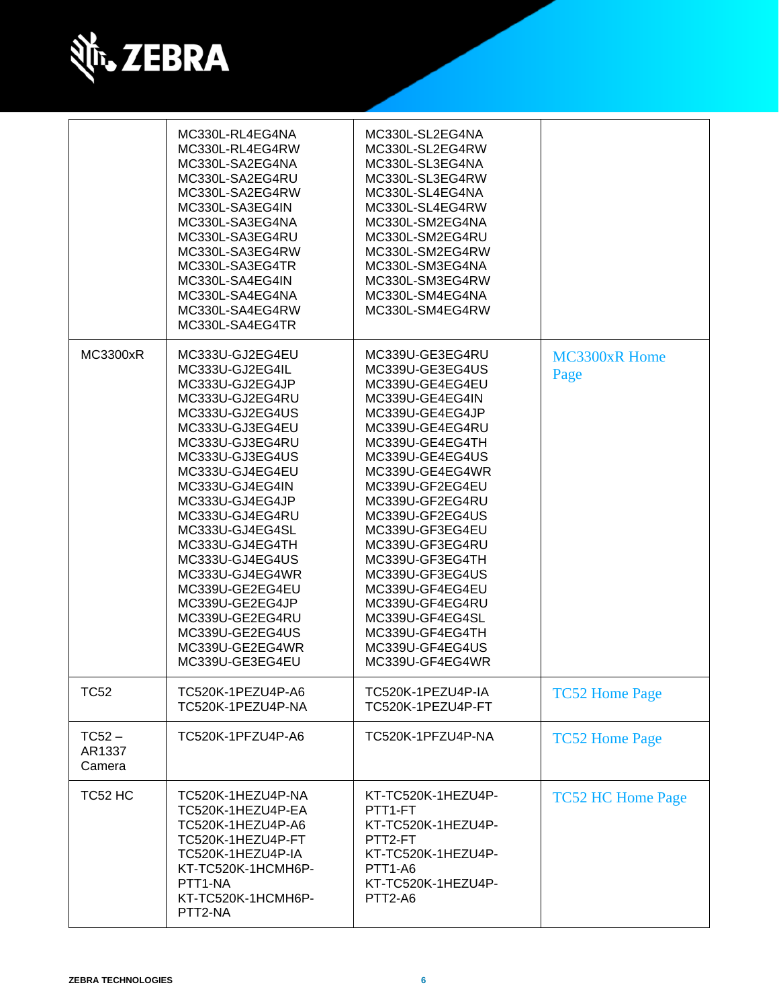

|                              | MC330L-RL4EG4NA<br>MC330L-RL4EG4RW<br>MC330L-SA2EG4NA<br>MC330L-SA2EG4RU<br>MC330L-SA2EG4RW<br>MC330L-SA3EG4IN<br>MC330L-SA3EG4NA<br>MC330L-SA3EG4RU<br>MC330L-SA3EG4RW<br>MC330L-SA3EG4TR<br>MC330L-SA4EG4IN<br>MC330L-SA4EG4NA<br>MC330L-SA4EG4RW<br>MC330L-SA4EG4TR                                                                                                                                                         | MC330L-SL2EG4NA<br>MC330L-SL2EG4RW<br>MC330L-SL3EG4NA<br>MC330L-SL3EG4RW<br>MC330L-SL4EG4NA<br>MC330L-SL4EG4RW<br>MC330L-SM2EG4NA<br>MC330L-SM2EG4RU<br>MC330L-SM2EG4RW<br>MC330L-SM3EG4NA<br>MC330L-SM3EG4RW<br>MC330L-SM4EG4NA<br>MC330L-SM4EG4RW                                                                                                                                                                            |                              |
|------------------------------|--------------------------------------------------------------------------------------------------------------------------------------------------------------------------------------------------------------------------------------------------------------------------------------------------------------------------------------------------------------------------------------------------------------------------------|--------------------------------------------------------------------------------------------------------------------------------------------------------------------------------------------------------------------------------------------------------------------------------------------------------------------------------------------------------------------------------------------------------------------------------|------------------------------|
| <b>MC3300xR</b>              | MC333U-GJ2EG4EU<br>MC333U-GJ2EG4IL<br>MC333U-GJ2EG4JP<br>MC333U-GJ2EG4RU<br>MC333U-GJ2EG4US<br>MC333U-GJ3EG4EU<br>MC333U-GJ3EG4RU<br>MC333U-GJ3EG4US<br>MC333U-GJ4EG4EU<br>MC333U-GJ4EG4IN<br>MC333U-GJ4EG4JP<br>MC333U-GJ4EG4RU<br>MC333U-GJ4EG4SL<br>MC333U-GJ4EG4TH<br>MC333U-GJ4EG4US<br>MC333U-GJ4EG4WR<br>MC339U-GE2EG4EU<br>MC339U-GE2EG4JP<br>MC339U-GE2EG4RU<br>MC339U-GE2EG4US<br>MC339U-GE2EG4WR<br>MC339U-GE3EG4EU | MC339U-GE3EG4RU<br>MC339U-GE3EG4US<br>MC339U-GE4EG4EU<br>MC339U-GE4EG4IN<br>MC339U-GE4EG4JP<br>MC339U-GE4EG4RU<br>MC339U-GE4EG4TH<br>MC339U-GE4EG4US<br>MC339U-GE4EG4WR<br>MC339U-GF2EG4EU<br>MC339U-GF2EG4RU<br>MC339U-GF2EG4US<br>MC339U-GF3EG4EU<br>MC339U-GF3EG4RU<br>MC339U-GF3EG4TH<br>MC339U-GF3EG4US<br>MC339U-GF4EG4EU<br>MC339U-GF4EG4RU<br>MC339U-GF4EG4SL<br>MC339U-GF4EG4TH<br>MC339U-GF4EG4US<br>MC339U-GF4EG4WR | <b>MC3300xR Home</b><br>Page |
| TC52                         | TC520K-1PEZU4P-A6<br>TC520K-1PEZU4P-NA                                                                                                                                                                                                                                                                                                                                                                                         | TC520K-1PEZU4P-IA<br>TC520K-1PEZU4P-FT                                                                                                                                                                                                                                                                                                                                                                                         | <b>TC52 Home Page</b>        |
| $TC52 -$<br>AR1337<br>Camera | TC520K-1PFZU4P-A6                                                                                                                                                                                                                                                                                                                                                                                                              | TC520K-1PFZU4P-NA                                                                                                                                                                                                                                                                                                                                                                                                              | <b>TC52 Home Page</b>        |
| TC52 HC                      | TC520K-1HEZU4P-NA<br>TC520K-1HEZU4P-EA<br>TC520K-1HEZU4P-A6<br>TC520K-1HEZU4P-FT<br>TC520K-1HEZU4P-IA<br>KT-TC520K-1HCMH6P-<br>PTT1-NA<br>KT-TC520K-1HCMH6P-<br>PTT2-NA                                                                                                                                                                                                                                                        | KT-TC520K-1HEZU4P-<br>PTT1-FT<br>KT-TC520K-1HEZU4P-<br>PTT2-FT<br>KT-TC520K-1HEZU4P-<br>PTT1-A6<br>KT-TC520K-1HEZU4P-<br>PTT2-A6                                                                                                                                                                                                                                                                                               | <b>TC52 HC Home Page</b>     |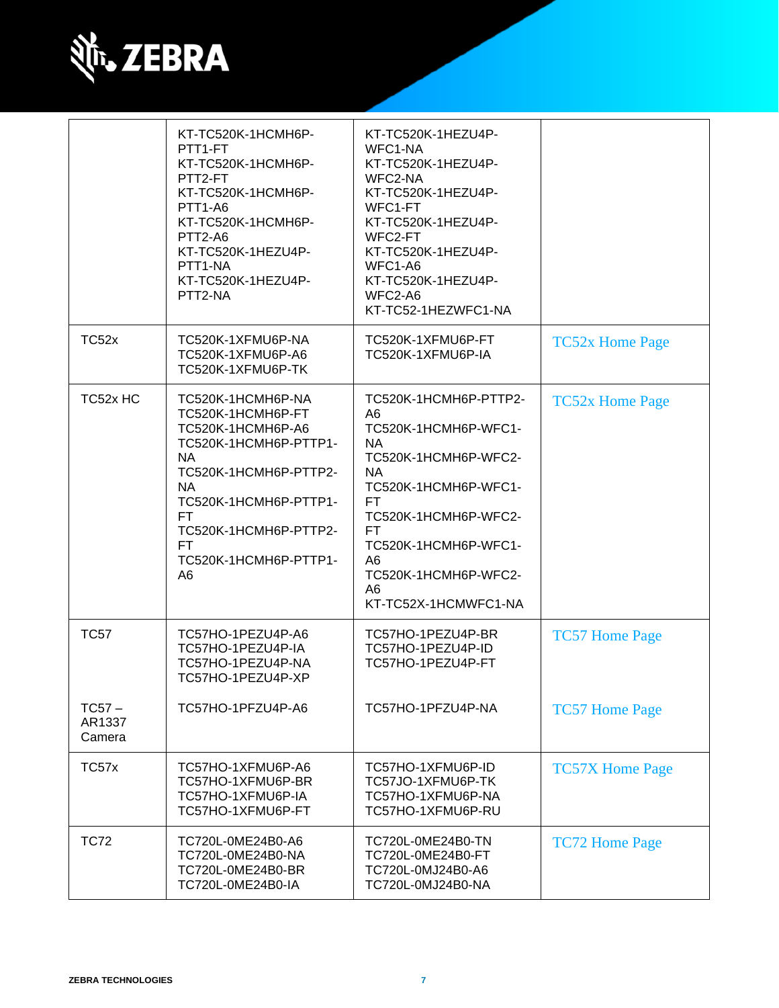

|                              | KT-TC520K-1HCMH6P-<br>PTT1-FT<br>KT-TC520K-1HCMH6P-<br>PTT2-FT<br>KT-TC520K-1HCMH6P-<br>PTT1-A6<br>KT-TC520K-1HCMH6P-<br>PTT2-A6<br>KT-TC520K-1HEZU4P-<br>PTT1-NA<br>KT-TC520K-1HEZU4P-<br>PTT2-NA                                     | KT-TC520K-1HEZU4P-<br>WFC1-NA<br>KT-TC520K-1HEZU4P-<br>WFC2-NA<br>KT-TC520K-1HEZU4P-<br>WFC1-FT<br>KT-TC520K-1HEZU4P-<br>WFC2-FT<br>KT-TC520K-1HEZU4P-<br>WFC1-A6<br>KT-TC520K-1HEZU4P-<br>WFC2-A6<br>KT-TC52-1HEZWFC1-NA                 |                        |
|------------------------------|----------------------------------------------------------------------------------------------------------------------------------------------------------------------------------------------------------------------------------------|-------------------------------------------------------------------------------------------------------------------------------------------------------------------------------------------------------------------------------------------|------------------------|
| TC52x                        | TC520K-1XFMU6P-NA<br>TC520K-1XFMU6P-A6<br>TC520K-1XFMU6P-TK                                                                                                                                                                            | TC520K-1XFMU6P-FT<br>TC520K-1XFMU6P-IA                                                                                                                                                                                                    | <b>TC52x Home Page</b> |
| TC52x HC                     | TC520K-1HCMH6P-NA<br>TC520K-1HCMH6P-FT<br>TC520K-1HCMH6P-A6<br>TC520K-1HCMH6P-PTTP1-<br><b>NA</b><br>TC520K-1HCMH6P-PTTP2-<br><b>NA</b><br>TC520K-1HCMH6P-PTTP1-<br>FT.<br>TC520K-1HCMH6P-PTTP2-<br>FT.<br>TC520K-1HCMH6P-PTTP1-<br>A6 | TC520K-1HCMH6P-PTTP2-<br>A6<br>TC520K-1HCMH6P-WFC1-<br>NA.<br>TC520K-1HCMH6P-WFC2-<br>NA.<br>TC520K-1HCMH6P-WFC1-<br>FT<br>TC520K-1HCMH6P-WFC2-<br>FT<br>TC520K-1HCMH6P-WFC1-<br>A6<br>TC520K-1HCMH6P-WFC2-<br>A6<br>KT-TC52X-1HCMWFC1-NA | <b>TC52x Home Page</b> |
| <b>TC57</b>                  | TC57HO-1PEZU4P-A6<br>TC57HO-1PEZU4P-IA<br>TC57HO-1PEZU4P-NA<br>TC57HO-1PEZU4P-XP                                                                                                                                                       | TC57HO-1PEZU4P-BR<br>TC57HO-1PEZU4P-ID<br>TC57HO-1PEZU4P-FT                                                                                                                                                                               | <b>TC57 Home Page</b>  |
| $TC57 -$<br>AR1337<br>Camera | TC57HO-1PFZU4P-A6                                                                                                                                                                                                                      | TC57HO-1PFZU4P-NA                                                                                                                                                                                                                         | <b>TC57 Home Page</b>  |
| TC57x                        | TC57HO-1XFMU6P-A6<br>TC57HO-1XFMU6P-BR<br>TC57HO-1XFMU6P-IA<br>TC57HO-1XFMU6P-FT                                                                                                                                                       | TC57HO-1XFMU6P-ID<br>TC57JO-1XFMU6P-TK<br>TC57HO-1XFMU6P-NA<br>TC57HO-1XFMU6P-RU                                                                                                                                                          | <b>TC57X Home Page</b> |
| <b>TC72</b>                  | TC720L-0ME24B0-A6<br>TC720L-0ME24B0-NA<br>TC720L-0ME24B0-BR<br>TC720L-0ME24B0-IA                                                                                                                                                       | TC720L-0ME24B0-TN<br>TC720L-0ME24B0-FT<br>TC720L-0MJ24B0-A6<br>TC720L-0MJ24B0-NA                                                                                                                                                          | <b>TC72 Home Page</b>  |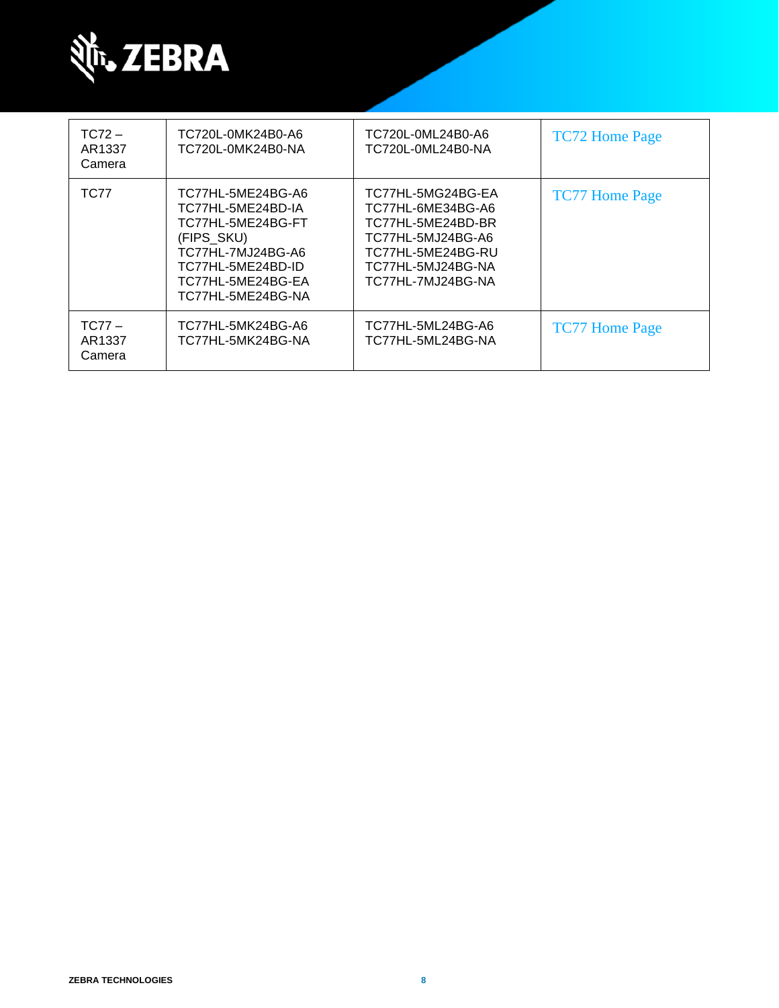

| $TC72-$<br>AR1337<br>Camera | TC720L-0MK24B0-A6<br>TC720L-0MK24B0-NA                                                                                                                        | TC720L-0ML24B0-A6<br>TC720L-0ML24B0-NA                                                                                                          | <b>TC72 Home Page</b> |
|-----------------------------|---------------------------------------------------------------------------------------------------------------------------------------------------------------|-------------------------------------------------------------------------------------------------------------------------------------------------|-----------------------|
| <b>TC77</b>                 | TC77HL-5ME24BG-A6<br>TC77HL-5ME24BD-IA<br>TC77HL-5ME24BG-FT<br>(FIPS SKU)<br>TC77HL-7MJ24BG-A6<br>TC77HL-5ME24BD-ID<br>TC77HL-5ME24BG-EA<br>TC77HL-5ME24BG-NA | TC77HL-5MG24BG-EA<br>TC77HL-6ME34BG-A6<br>TC77HL-5ME24BD-BR<br>TC77HL-5MJ24BG-A6<br>TC77HL-5ME24BG-RU<br>TC77HL-5MJ24BG-NA<br>TC77HL-7MJ24BG-NA | <b>TC77 Home Page</b> |
| $TC77-$<br>AR1337<br>Camera | TC77HL-5MK24BG-A6<br>TC77HL-5MK24BG-NA                                                                                                                        | TC77HL-5ML24BG-A6<br>TC77HL-5ML24BG-NA                                                                                                          | <b>TC77 Home Page</b> |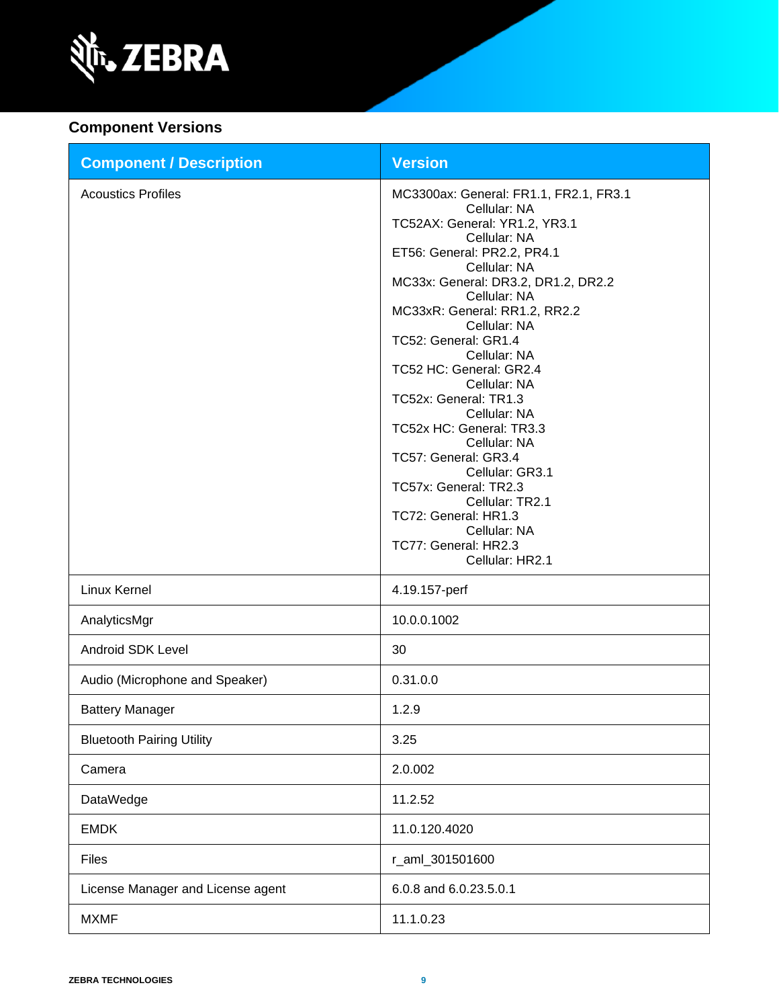

#### **Component Versions**

| <b>Component / Description</b>    | <b>Version</b>                                                                                                                                                                                                                                                                                                                                                                                                                                                                                                                                                                                                   |
|-----------------------------------|------------------------------------------------------------------------------------------------------------------------------------------------------------------------------------------------------------------------------------------------------------------------------------------------------------------------------------------------------------------------------------------------------------------------------------------------------------------------------------------------------------------------------------------------------------------------------------------------------------------|
| <b>Acoustics Profiles</b>         | MC3300ax: General: FR1.1, FR2.1, FR3.1<br>Cellular: NA<br>TC52AX: General: YR1.2, YR3.1<br>Cellular: NA<br>ET56: General: PR2.2, PR4.1<br>Cellular: NA<br>MC33x: General: DR3.2, DR1.2, DR2.2<br>Cellular: NA<br>MC33xR: General: RR1.2, RR2.2<br>Cellular: NA<br>TC52: General: GR1.4<br>Cellular: NA<br>TC52 HC: General: GR2.4<br>Cellular: NA<br>TC52x: General: TR1.3<br>Cellular: NA<br>TC52x HC: General: TR3.3<br>Cellular: NA<br>TC57: General: GR3.4<br>Cellular: GR3.1<br>TC57x: General: TR2.3<br>Cellular: TR2.1<br>TC72: General: HR1.3<br>Cellular: NA<br>TC77: General: HR2.3<br>Cellular: HR2.1 |
| Linux Kernel                      | 4.19.157-perf                                                                                                                                                                                                                                                                                                                                                                                                                                                                                                                                                                                                    |
| AnalyticsMgr                      | 10.0.0.1002                                                                                                                                                                                                                                                                                                                                                                                                                                                                                                                                                                                                      |
| Android SDK Level                 | 30                                                                                                                                                                                                                                                                                                                                                                                                                                                                                                                                                                                                               |
| Audio (Microphone and Speaker)    | 0.31.0.0                                                                                                                                                                                                                                                                                                                                                                                                                                                                                                                                                                                                         |
| <b>Battery Manager</b>            | 1.2.9                                                                                                                                                                                                                                                                                                                                                                                                                                                                                                                                                                                                            |
| <b>Bluetooth Pairing Utility</b>  | 3.25                                                                                                                                                                                                                                                                                                                                                                                                                                                                                                                                                                                                             |
| Camera                            | 2.0.002                                                                                                                                                                                                                                                                                                                                                                                                                                                                                                                                                                                                          |
| DataWedge                         | 11.2.52                                                                                                                                                                                                                                                                                                                                                                                                                                                                                                                                                                                                          |
| <b>EMDK</b>                       | 11.0.120.4020                                                                                                                                                                                                                                                                                                                                                                                                                                                                                                                                                                                                    |
| Files                             | r_aml_301501600                                                                                                                                                                                                                                                                                                                                                                                                                                                                                                                                                                                                  |
| License Manager and License agent | 6.0.8 and 6.0.23.5.0.1                                                                                                                                                                                                                                                                                                                                                                                                                                                                                                                                                                                           |
| <b>MXMF</b>                       | 11.1.0.23                                                                                                                                                                                                                                                                                                                                                                                                                                                                                                                                                                                                        |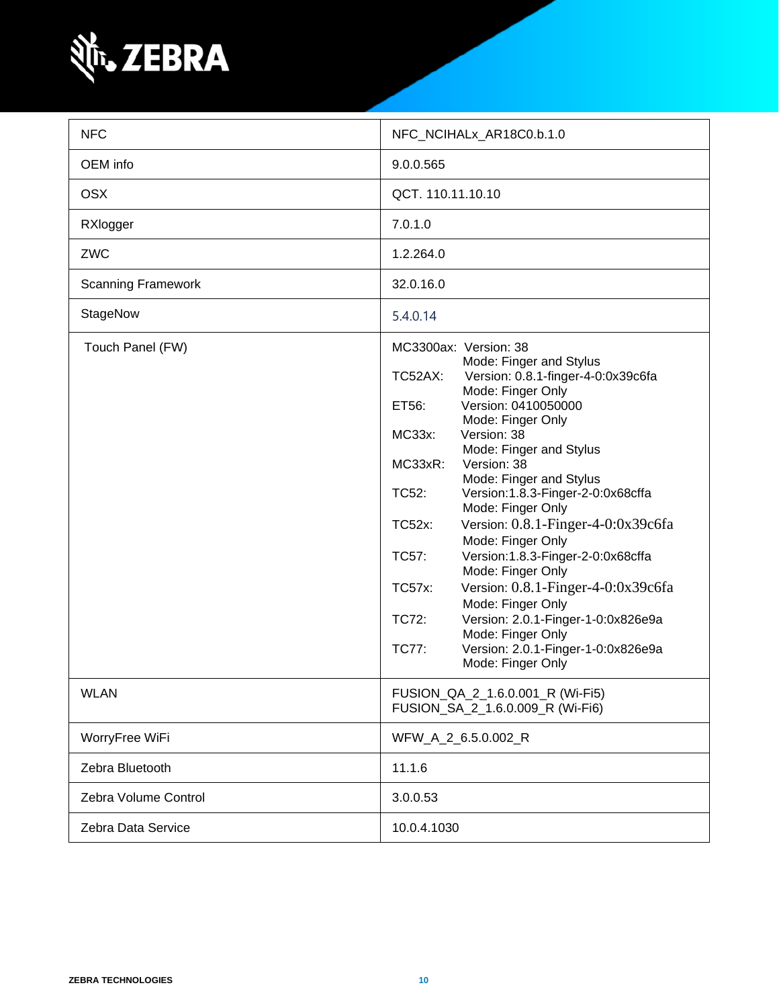

| <b>NFC</b>                | NFC_NCIHALx_AR18C0.b.1.0                                                                                                                                                                                                                                                                                                                                                                                                                                                                                                                                                                                                                                                                                                   |  |
|---------------------------|----------------------------------------------------------------------------------------------------------------------------------------------------------------------------------------------------------------------------------------------------------------------------------------------------------------------------------------------------------------------------------------------------------------------------------------------------------------------------------------------------------------------------------------------------------------------------------------------------------------------------------------------------------------------------------------------------------------------------|--|
| OEM info                  | 9.0.0.565                                                                                                                                                                                                                                                                                                                                                                                                                                                                                                                                                                                                                                                                                                                  |  |
| <b>OSX</b>                | QCT. 110.11.10.10                                                                                                                                                                                                                                                                                                                                                                                                                                                                                                                                                                                                                                                                                                          |  |
| RXlogger                  | 7.0.1.0                                                                                                                                                                                                                                                                                                                                                                                                                                                                                                                                                                                                                                                                                                                    |  |
| ZWC                       | 1.2.264.0                                                                                                                                                                                                                                                                                                                                                                                                                                                                                                                                                                                                                                                                                                                  |  |
| <b>Scanning Framework</b> | 32.0.16.0                                                                                                                                                                                                                                                                                                                                                                                                                                                                                                                                                                                                                                                                                                                  |  |
| StageNow                  | 5.4.0.14                                                                                                                                                                                                                                                                                                                                                                                                                                                                                                                                                                                                                                                                                                                   |  |
| Touch Panel (FW)          | MC3300ax: Version: 38<br>Mode: Finger and Stylus<br>Version: 0.8.1-finger-4-0:0x39c6fa<br>TC52AX:<br>Mode: Finger Only<br>Version: 0410050000<br>ET56:<br>Mode: Finger Only<br>Version: 38<br>MC33x:<br>Mode: Finger and Stylus<br>Version: 38<br>MC33xR:<br>Mode: Finger and Stylus<br>TC52:<br>Version:1.8.3-Finger-2-0:0x68cffa<br>Mode: Finger Only<br>Version: 0.8.1-Finger-4-0:0x39c6fa<br>TC52x:<br>Mode: Finger Only<br>Version:1.8.3-Finger-2-0:0x68cffa<br>TC57:<br>Mode: Finger Only<br>Version: 0.8.1-Finger-4-0:0x39c6fa<br><b>TC57x:</b><br>Mode: Finger Only<br>Version: 2.0.1-Finger-1-0:0x826e9a<br>TC72:<br>Mode: Finger Only<br><b>TC77:</b><br>Version: 2.0.1-Finger-1-0:0x826e9a<br>Mode: Finger Only |  |
| <b>WLAN</b>               | FUSION_QA_2_1.6.0.001_R (Wi-Fi5)<br>FUSION_SA_2_1.6.0.009_R (Wi-Fi6)                                                                                                                                                                                                                                                                                                                                                                                                                                                                                                                                                                                                                                                       |  |
| WorryFree WiFi            | WFW_A_2_6.5.0.002_R                                                                                                                                                                                                                                                                                                                                                                                                                                                                                                                                                                                                                                                                                                        |  |
| Zebra Bluetooth           | 11.1.6                                                                                                                                                                                                                                                                                                                                                                                                                                                                                                                                                                                                                                                                                                                     |  |
| Zebra Volume Control      | 3.0.0.53                                                                                                                                                                                                                                                                                                                                                                                                                                                                                                                                                                                                                                                                                                                   |  |
| Zebra Data Service        | 10.0.4.1030                                                                                                                                                                                                                                                                                                                                                                                                                                                                                                                                                                                                                                                                                                                |  |